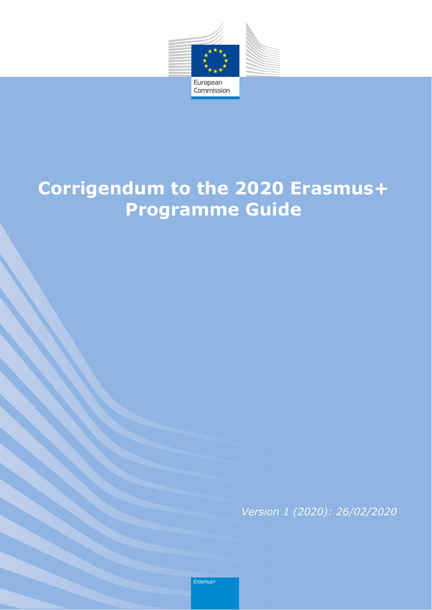

# **Corrigendum to the 2020 Erasmus+ Programme Guide**

*Version 1 (2020): 26/02/2020*

Erasmus+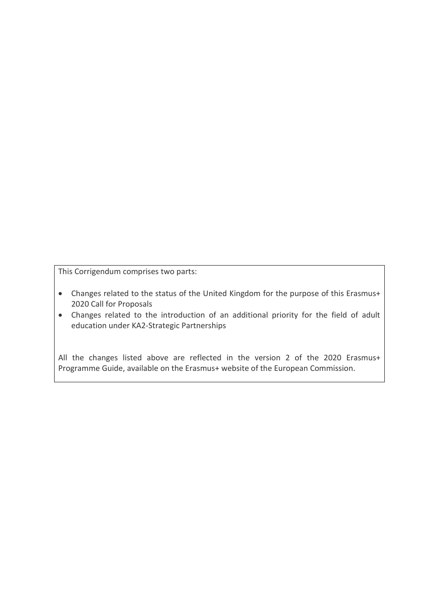This Corrigendum comprises two parts:

- Changes related to the status of the United Kingdom for the purpose of this Erasmus+ 2020 Call for Proposals
- Changes related to the introduction of an additional priority for the field of adult education under KA2-Strategic Partnerships

All the changes listed above are reflected in the version 2 of the 2020 Erasmus+ Programme Guide, available on the Erasmus+ website of the European Commission.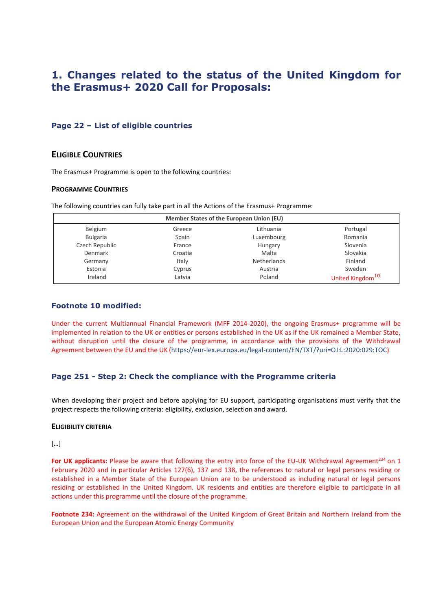# **1. Changes related to the status of the United Kingdom for the Erasmus+ 2020 Call for Proposals:**

## **Page 22 – List of eligible countries**

# **ELIGIBLE COUNTRIES**

The Erasmus+ Programme is open to the following countries:

#### **PROGRAMME COUNTRIES**

The following countries can fully take part in all the Actions of the Erasmus+ Programme:

| Member States of the European Union (EU) |         |             |                              |
|------------------------------------------|---------|-------------|------------------------------|
| Belgium                                  | Greece  | Lithuania   | Portugal                     |
| <b>Bulgaria</b>                          | Spain   | Luxembourg  | Romania                      |
| Czech Republic                           | France  | Hungary     | Slovenia                     |
| Denmark                                  | Croatia | Malta       | Slovakia                     |
| Germany                                  | Italy   | Netherlands | Finland                      |
| Estonia                                  | Cyprus  | Austria     | Sweden                       |
| Ireland                                  | Latvia  | Poland      | United Kingdom <sup>10</sup> |

### **Footnote 10 modified:**

Under the current Multiannual Financial Framework (MFF 2014-2020), the ongoing Erasmus+ programme will be implemented in relation to the UK or entities or persons established in the UK as if the UK remained a Member State, without disruption until the closure of the programme, in accordance with the provisions of the Withdrawal Agreement between the EU and the UK [\(https://eur-lex.europa.eu/legal-content/EN/TXT/?uri=OJ:L:2020:029:TOC\)](https://eur-lex.europa.eu/legal-content/EN/TXT/?uri=OJ:L:2020:029:TOC)

# **Page 251 - Step 2: Check the compliance with the Programme criteria**

When developing their project and before applying for EU support, participating organisations must verify that the project respects the following criteria: eligibility, exclusion, selection and award.

#### **ELIGIBILITY CRITERIA**

### […]

For UK applicants: Please be aware that following the entry into force of the EU-UK Withdrawal Agreement<sup>234</sup> on 1 February 2020 and in particular Articles 127(6), 137 and 138, the references to natural or legal persons residing or established in a Member State of the European Union are to be understood as including natural or legal persons residing or established in the United Kingdom. UK residents and entities are therefore eligible to participate in all actions under this programme until the closure of the programme.

**Footnote 234:** Agreement on the withdrawal of the United Kingdom of Great Britain and Northern Ireland from the European Union and the European Atomic Energy Community